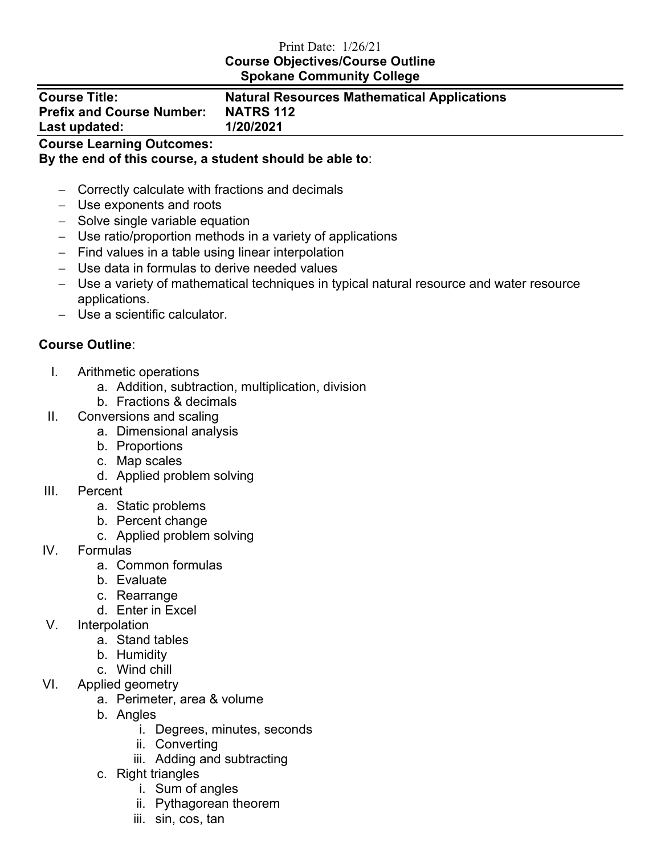## Print Date: 1/26/21 **Course Objectives/Course Outline Spokane Community College**

| <b>Course Title:</b>             |  |
|----------------------------------|--|
| <b>Prefix and Course Number:</b> |  |
| Last updated:                    |  |

## **Natural Resources Mathematical Applications NATRS 112 Last updated: 1/20/2021**

**Course Learning Outcomes:** 

**By the end of this course, a student should be able to**:

- − Correctly calculate with fractions and decimals
- − Use exponents and roots
- − Solve single variable equation
- − Use ratio/proportion methods in a variety of applications
- − Find values in a table using linear interpolation
- − Use data in formulas to derive needed values
- − Use a variety of mathematical techniques in typical natural resource and water resource applications.
- − Use a scientific calculator.

## **Course Outline**:

- I. Arithmetic operations
	- a. Addition, subtraction, multiplication, division
	- b. Fractions & decimals
- II. Conversions and scaling
	- a. Dimensional analysis
	- b. Proportions
	- c. Map scales
	- d. Applied problem solving
- III. Percent
	- a. Static problems
	- b. Percent change
	- c. Applied problem solving
- IV. Formulas
	- a. Common formulas
	- b. Evaluate
	- c. Rearrange
	- d. Enter in Excel
- V. Interpolation
	- a. Stand tables
	- b. Humidity
	- c. Wind chill
- VI. Applied geometry
	- a. Perimeter, area & volume
	- b. Angles
		- i. Degrees, minutes, seconds
		- ii. Converting
		- iii. Adding and subtracting
	- c. Right triangles
		- i. Sum of angles
		- ii. Pythagorean theorem
		- iii. sin, cos, tan